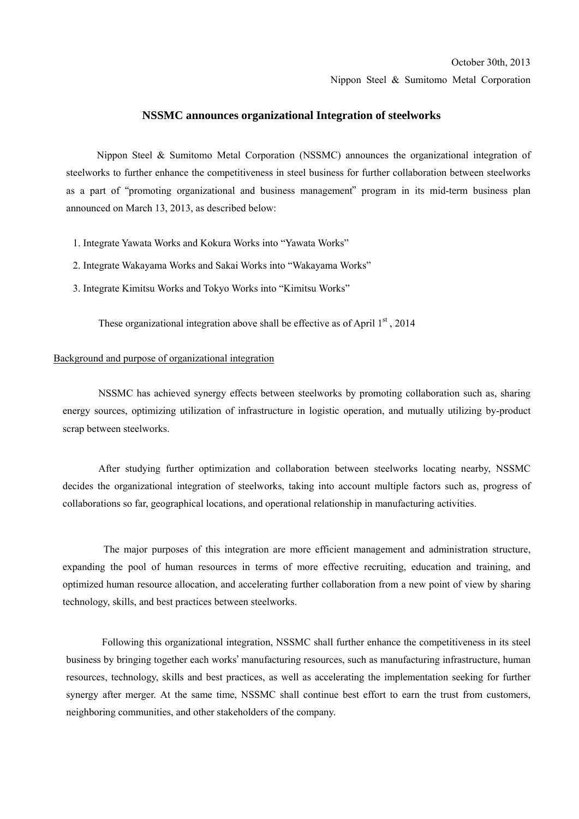#### October 30th, 2013

Nippon Steel & Sumitomo Metal Corporation

#### **NSSMC announces organizational Integration of steelworks**

Nippon Steel & Sumitomo Metal Corporation (NSSMC) announces the organizational integration of steelworks to further enhance the competitiveness in steel business for further collaboration between steelworks as a part of "promoting organizational and business management" program in its mid-term business plan announced on March 13, 2013, as described below:

- 1. Integrate Yawata Works and Kokura Works into "Yawata Works"
- 2. Integrate Wakayama Works and Sakai Works into "Wakayama Works"
- 3. Integrate Kimitsu Works and Tokyo Works into "Kimitsu Works"

These organizational integration above shall be effective as of April  $1<sup>st</sup>$ , 2014

### Background and purpose of organizational integration

NSSMC has achieved synergy effects between steelworks by promoting collaboration such as, sharing energy sources, optimizing utilization of infrastructure in logistic operation, and mutually utilizing by-product scrap between steelworks.

After studying further optimization and collaboration between steelworks locating nearby, NSSMC decides the organizational integration of steelworks, taking into account multiple factors such as, progress of collaborations so far, geographical locations, and operational relationship in manufacturing activities.

 The major purposes of this integration are more efficient management and administration structure, expanding the pool of human resources in terms of more effective recruiting, education and training, and optimized human resource allocation, and accelerating further collaboration from a new point of view by sharing technology, skills, and best practices between steelworks.

Following this organizational integration, NSSMC shall further enhance the competitiveness in its steel business by bringing together each works' manufacturing resources, such as manufacturing infrastructure, human resources, technology, skills and best practices, as well as accelerating the implementation seeking for further synergy after merger. At the same time, NSSMC shall continue best effort to earn the trust from customers, neighboring communities, and other stakeholders of the company.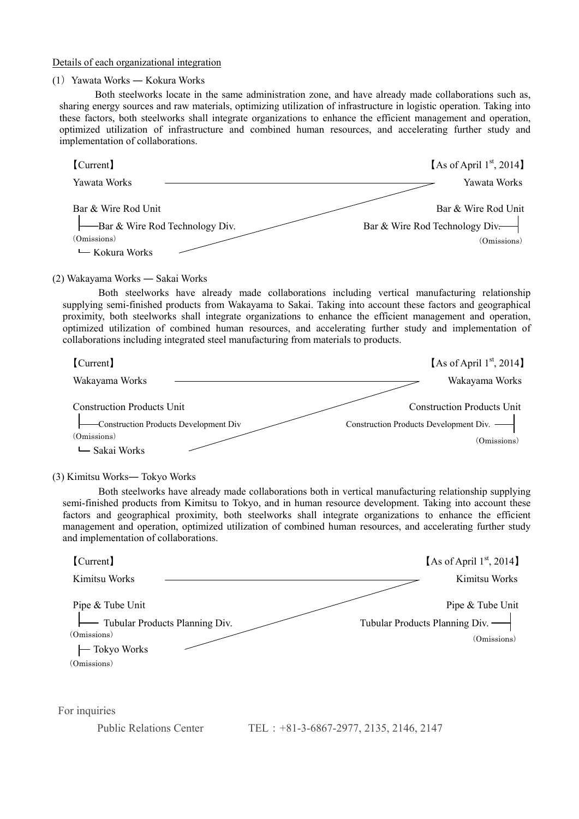Details of each organizational integration

# (1) Yawata Works — Kokura Works

Both steelworks locate in the same administration zone, and have already made collaborations such as, sharing energy sources and raw materials, optimizing utilization of infrastructure in logistic operation. Taking into these factors, both steelworks shall integrate organizations to enhance the efficient management and operation, optimized utilization of infrastructure and combined human resources, and accelerating further study and implementation of collaborations.

| [Current]                                                                                                                                                                                                                                                                                                                                                                                                                                                                                                                                                          | [As of April $1st$ , 2014]                                                                   |
|--------------------------------------------------------------------------------------------------------------------------------------------------------------------------------------------------------------------------------------------------------------------------------------------------------------------------------------------------------------------------------------------------------------------------------------------------------------------------------------------------------------------------------------------------------------------|----------------------------------------------------------------------------------------------|
| Yawata Works                                                                                                                                                                                                                                                                                                                                                                                                                                                                                                                                                       | Yawata Works                                                                                 |
| Bar & Wire Rod Unit<br>-Bar & Wire Rod Technology Div.<br>(Omissions)<br>← Kokura Works                                                                                                                                                                                                                                                                                                                                                                                                                                                                            | Bar & Wire Rod Unit<br>Bar & Wire Rod Technology Div-<br>(Omissions)                         |
| (2) Wakayama Works — Sakai Works<br>Both steelworks have already made collaborations including vertical manufacturing relationship<br>supplying semi-finished products from Wakayama to Sakai. Taking into account these factors and geographical<br>proximity, both steelworks shall integrate organizations to enhance the efficient management and operation,<br>optimized utilization of combined human resources, and accelerating further study and implementation of<br>collaborations including integrated steel manufacturing from materials to products. |                                                                                              |
| [Current]<br>Wakayama Works                                                                                                                                                                                                                                                                                                                                                                                                                                                                                                                                        | [As of April 1 <sup>st</sup> , 2014]<br>Wakayama Works                                       |
| <b>Construction Products Unit</b><br>-Construction Products Development Div<br>(Omissions)<br>└ Sakai Works                                                                                                                                                                                                                                                                                                                                                                                                                                                        | <b>Construction Products Unit</b><br>Construction Products Development Div. -<br>(Omissions) |
| (3) Kimitsu Works-Tokyo Works<br>Both steelworks have already made collaborations both in vertical manufacturing relationship supplying<br>semi-finished products from Kimitsu to Tokyo, and in human resource development. Taking into account these<br>factors and geographical proximity, both steelworks shall integrate organizations to enhance the efficient<br>management and operation, optimized utilization of combined human resources, and accelerating further study<br>and implementation of collaborations.                                        |                                                                                              |

| [Current]                                                                            | [As of April $1st$ , 2014]                                          |
|--------------------------------------------------------------------------------------|---------------------------------------------------------------------|
| Kimitsu Works                                                                        | Kimitsu Works                                                       |
| Pipe & Tube Unit<br>- Tubular Products Planning Div.<br>(Omissions)<br>- Tokyo Works | Pipe & Tube Unit<br>Tubular Products Planning Div. -<br>(Omissions) |
| (Omissions)                                                                          |                                                                     |
|                                                                                      |                                                                     |
| For inquiries                                                                        |                                                                     |

Public Relations Center TEL: +81-3-6867-2977, 2135, 2146, 2147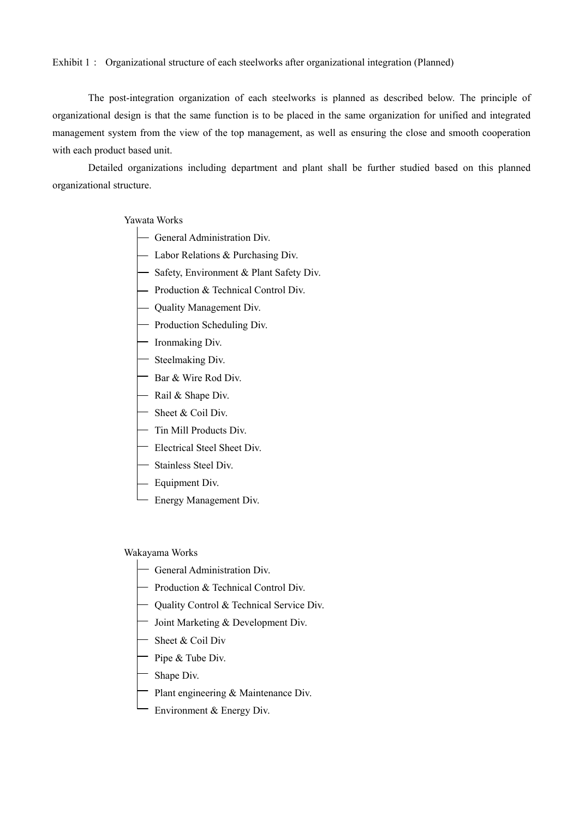#### Exhibit 1: Organizational structure of each steelworks after organizational integration (Planned)

The post-integration organization of each steelworks is planned as described below. The principle of organizational design is that the same function is to be placed in the same organization for unified and integrated management system from the view of the top management, as well as ensuring the close and smooth cooperation with each product based unit.

 Detailed organizations including department and plant shall be further studied based on this planned organizational structure.

### Yawata Works

- General Administration Div.
- Labor Relations & Purchasing Div.
- Safety, Environment & Plant Safety Div.
- Production & Technical Control Div.
- Quality Management Div.
- Production Scheduling Div.
- Ironmaking Div.
- Steelmaking Div.
- Bar & Wire Rod Div.
- $-$  Rail & Shape Div.
- Sheet & Coil Div.
- Tin Mill Products Div.
- Electrical Steel Sheet Div.
- Stainless Steel Div.
- Equipment Div.
- Energy Management Div.

### Wakayama Works

- General Administration Div.
- Production & Technical Control Div.
- Quality Control & Technical Service Div.
- Joint Marketing  $&$  Development Div.
- Sheet & Coil Div
- $-$  Pipe & Tube Div.
- $\leftarrow$  Shape Div.
- Plant engineering  $&$  Maintenance Div.
- Environment  $&$  Energy Div.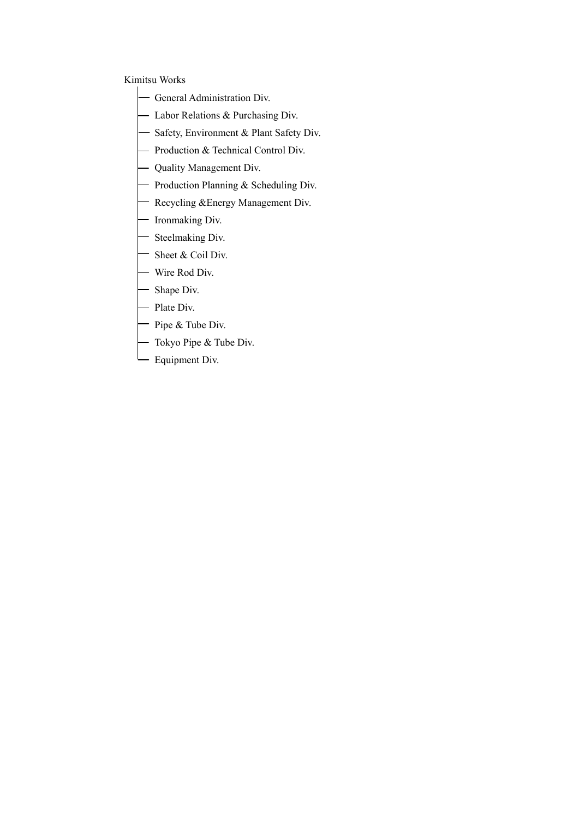## Kimitsu Works

- General Administration Div.
- Labor Relations  $&$  Purchasing Div.
- Safety, Environment & Plant Safety Div.
- Production  $&$  Technical Control Div.
- Quality Management Div.
- Production Planning  $&$  Scheduling Div.
- Recycling & Energy Management Div.
- Ironmaking Div.
- Steelmaking Div.
- Sheet & Coil Div.
- Wire Rod Div.
- Shape Div.
- Plate Div.
- $^-$  Pipe & Tube Div.
- Tokyo Pipe & Tube Div.
- Equipment Div.